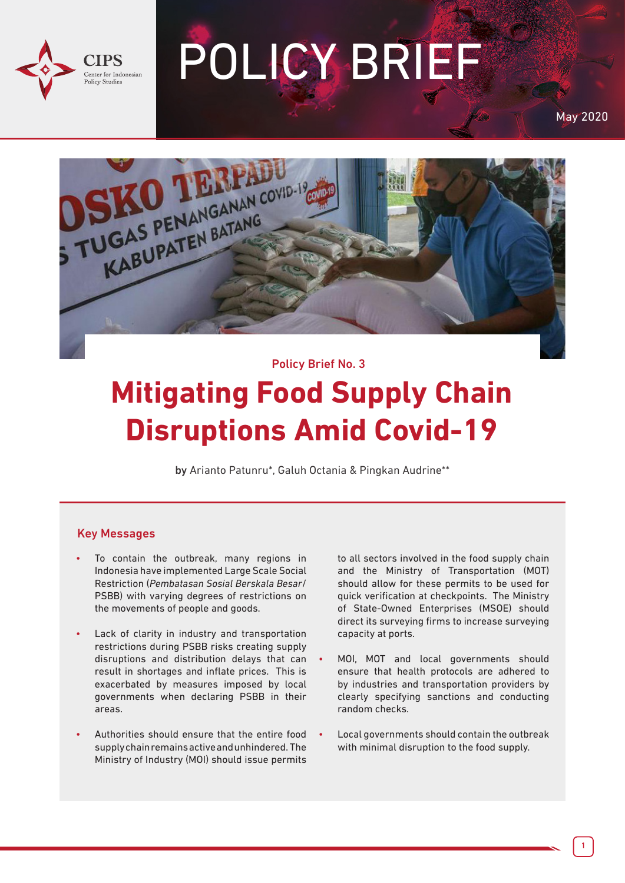

# POLICY BRIEF

May 2020



#### Policy Brief No. 3

## **Mitigating Food Supply Chain Disruptions Amid Covid-19**

by Arianto Patunru\*, Galuh Octania & Pingkan Audrine\*\*

#### Key Messages

- To contain the outbreak, many regions in Indonesia have implemented Large Scale Social Restriction (*Pembatasan Sosial Berskala Besar*/ PSBB) with varying degrees of restrictions on the movements of people and goods.
- Lack of clarity in industry and transportation restrictions during PSBB risks creating supply disruptions and distribution delays that can result in shortages and inflate prices. This is exacerbated by measures imposed by local governments when declaring PSBB in their areas.
- Authorities should ensure that the entire food supply chain remains active and unhindered. The Ministry of Industry (MOI) should issue permits

to all sectors involved in the food supply chain and the Ministry of Transportation (MOT) should allow for these permits to be used for quick verification at checkpoints. The Ministry of State-Owned Enterprises (MSOE) should direct its surveying firms to increase surveying capacity at ports.

- MOI, MOT and local governments should ensure that health protocols are adhered to by industries and transportation providers by clearly specifying sanctions and conducting random checks.
- Local governments should contain the outbreak with minimal disruption to the food supply.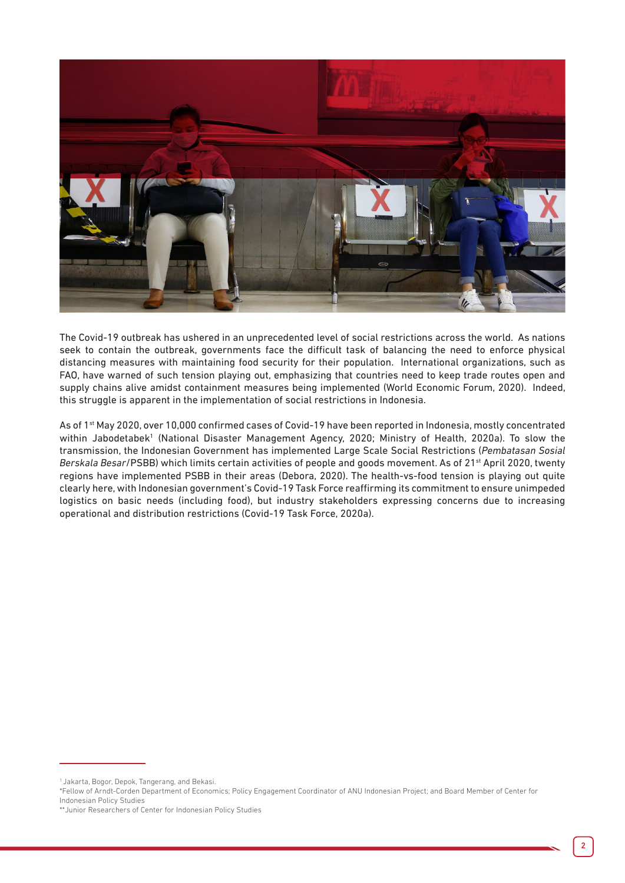

The Covid-19 outbreak has ushered in an unprecedented level of social restrictions across the world. As nations seek to contain the outbreak, governments face the difficult task of balancing the need to enforce physical distancing measures with maintaining food security for their population. International organizations, such as FAO, have warned of such tension playing out, emphasizing that countries need to keep trade routes open and supply chains alive amidst containment measures being implemented (World Economic Forum, 2020). Indeed, this struggle is apparent in the implementation of social restrictions in Indonesia.

As of 1<sup>st</sup> May 2020, over 10,000 confirmed cases of Covid-19 have been reported in Indonesia, mostly concentrated within Jabodetabek<sup>1</sup> (National Disaster Management Agency, 2020; Ministry of Health, 2020a). To slow the transmission, the Indonesian Government has implemented Large Scale Social Restrictions (*Pembatasan Sosial Berskala Besar*/PSBB) which limits certain activities of people and goods movement. As of 21st April 2020, twenty regions have implemented PSBB in their areas (Debora, 2020). The health-vs-food tension is playing out quite clearly here, with Indonesian government's Covid-19 Task Force reaffirming its commitment to ensure unimpeded logistics on basic needs (including food), but industry stakeholders expressing concerns due to increasing operational and distribution restrictions (Covid-19 Task Force, 2020a).

<sup>1</sup> Jakarta, Bogor, Depok, Tangerang, and Bekasi.

<sup>\*</sup>Fellow of Arndt-Corden Department of Economics; Policy Engagement Coordinator of ANU Indonesian Project; and Board Member of Center for Indonesian Policy Studies

<sup>\*\*</sup>Junior Researchers of Center for Indonesian Policy Studies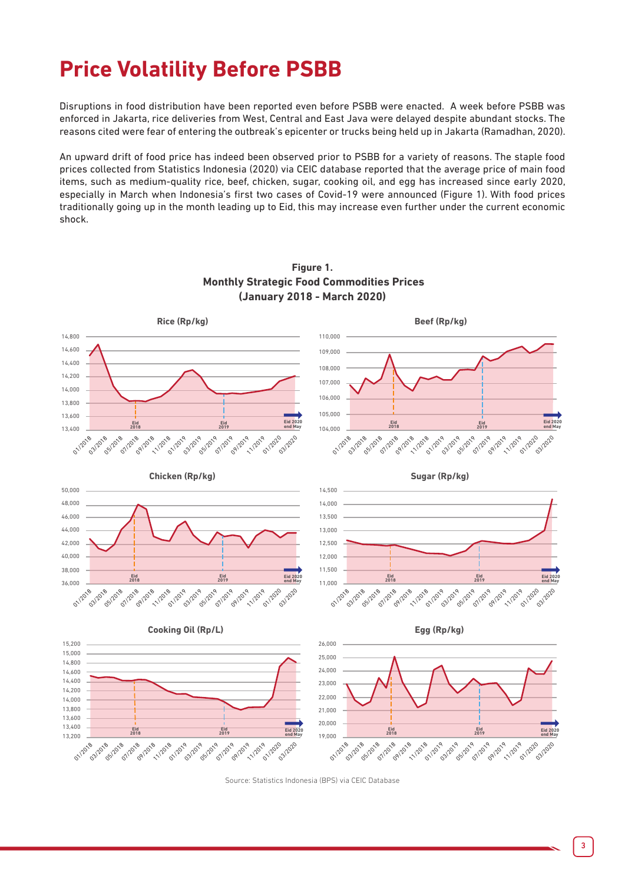## **Price Volatility Before PSBB**

Disruptions in food distribution have been reported even before PSBB were enacted. A week before PSBB was enforced in Jakarta, rice deliveries from West, Central and East Java were delayed despite abundant stocks. The reasons cited were fear of entering the outbreak's epicenter or trucks being held up in Jakarta (Ramadhan, 2020).

An upward drift of food price has indeed been observed prior to PSBB for a variety of reasons. The staple food prices collected from Statistics Indonesia (2020) via CEIC database reported that the average price of main food items, such as medium-quality rice, beef, chicken, sugar, cooking oil, and egg has increased since early 2020, especially in March when Indonesia's first two cases of Covid-19 were announced (Figure 1). With food prices traditionally going up in the month leading up to Eid, this may increase even further under the current economic shock.



**Figure 1. Monthly Strategic Food Commodities Prices (January 2018 - March 2020)**

Source: Statistics Indonesia (BPS) via CEIC Database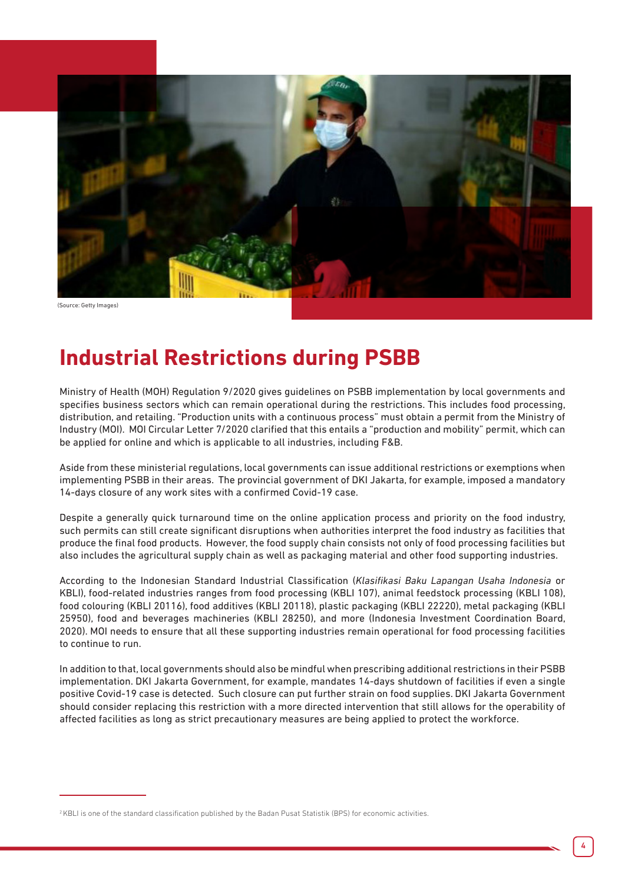

### **Industrial Restrictions during PSBB**

Ministry of Health (MOH) Regulation 9/2020 gives guidelines on PSBB implementation by local governments and specifies business sectors which can remain operational during the restrictions. This includes food processing, distribution, and retailing. "Production units with a continuous process" must obtain a permit from the Ministry of Industry (MOI). MOI Circular Letter 7/2020 clarified that this entails a "production and mobility" permit, which can be applied for online and which is applicable to all industries, including F&B.

Aside from these ministerial regulations, local governments can issue additional restrictions or exemptions when implementing PSBB in their areas. The provincial government of DKI Jakarta, for example, imposed a mandatory 14-days closure of any work sites with a confirmed Covid-19 case.

Despite a generally quick turnaround time on the online application process and priority on the food industry, such permits can still create significant disruptions when authorities interpret the food industry as facilities that produce the final food products. However, the food supply chain consists not only of food processing facilities but also includes the agricultural supply chain as well as packaging material and other food supporting industries.

According to the Indonesian Standard Industrial Classification (*Klasifikasi Baku Lapangan Usaha Indonesia* or KBLI), food-related industries ranges from food processing (KBLI 107), animal feedstock processing (KBLI 108), food colouring (KBLI 20116), food additives (KBLI 20118), plastic packaging (KBLI 22220), metal packaging (KBLI 25950), food and beverages machineries (KBLI 28250), and more (Indonesia Investment Coordination Board, 2020). MOI needs to ensure that all these supporting industries remain operational for food processing facilities to continue to run.

In addition to that, local governments should also be mindful when prescribing additional restrictions in their PSBB implementation. DKI Jakarta Government, for example, mandates 14-days shutdown of facilities if even a single positive Covid-19 case is detected. Such closure can put further strain on food supplies. DKI Jakarta Government should consider replacing this restriction with a more directed intervention that still allows for the operability of affected facilities as long as strict precautionary measures are being applied to protect the workforce.

<sup>2</sup> KBLI is one of the standard classification published by the Badan Pusat Statistik (BPS) for economic activities.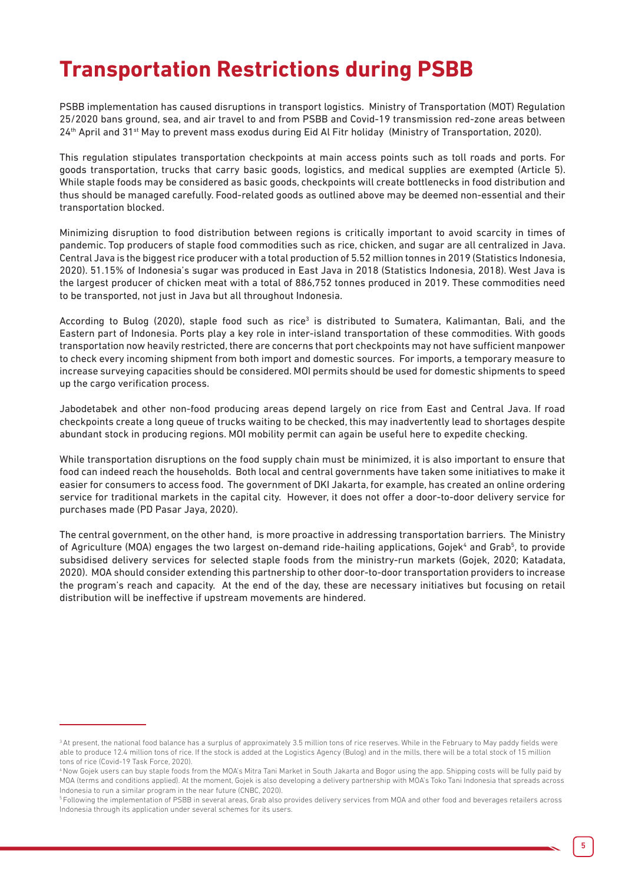#### **Transportation Restrictions during PSBB**

PSBB implementation has caused disruptions in transport logistics. Ministry of Transportation (MOT) Regulation 25/2020 bans ground, sea, and air travel to and from PSBB and Covid-19 transmission red-zone areas between 24<sup>th</sup> April and 31<sup>st</sup> May to prevent mass exodus during Eid Al Fitr holiday (Ministry of Transportation, 2020).

This regulation stipulates transportation checkpoints at main access points such as toll roads and ports. For goods transportation, trucks that carry basic goods, logistics, and medical supplies are exempted (Article 5). While staple foods may be considered as basic goods, checkpoints will create bottlenecks in food distribution and thus should be managed carefully. Food-related goods as outlined above may be deemed non-essential and their transportation blocked.

Minimizing disruption to food distribution between regions is critically important to avoid scarcity in times of pandemic. Top producers of staple food commodities such as rice, chicken, and sugar are all centralized in Java. Central Java is the biggest rice producer with a total production of 5.52 million tonnes in 2019 (Statistics Indonesia, 2020). 51.15% of Indonesia's sugar was produced in East Java in 2018 (Statistics Indonesia, 2018). West Java is the largest producer of chicken meat with a total of 886,752 tonnes produced in 2019. These commodities need to be transported, not just in Java but all throughout Indonesia.

According to Bulog (2020), staple food such as rice<sup>3</sup> is distributed to Sumatera, Kalimantan, Bali, and the Eastern part of Indonesia. Ports play a key role in inter-island transportation of these commodities. With goods transportation now heavily restricted, there are concerns that port checkpoints may not have sufficient manpower to check every incoming shipment from both import and domestic sources. For imports, a temporary measure to increase surveying capacities should be considered. MOI permits should be used for domestic shipments to speed up the cargo verification process.

Jabodetabek and other non-food producing areas depend largely on rice from East and Central Java. If road checkpoints create a long queue of trucks waiting to be checked, this may inadvertently lead to shortages despite abundant stock in producing regions. MOI mobility permit can again be useful here to expedite checking.

While transportation disruptions on the food supply chain must be minimized, it is also important to ensure that food can indeed reach the households. Both local and central governments have taken some initiatives to make it easier for consumers to access food. The government of DKI Jakarta, for example, has created an online ordering service for traditional markets in the capital city. However, it does not offer a door-to-door delivery service for purchases made (PD Pasar Jaya, 2020).

The central government, on the other hand, is more proactive in addressing transportation barriers. The Ministry of Agriculture (MOA) engages the two largest on-demand ride-hailing applications, Gojek<sup>4</sup> and Grab<sup>5</sup>, to provide subsidised delivery services for selected staple foods from the ministry-run markets (Gojek, 2020; Katadata, 2020). MOA should consider extending this partnership to other door-to-door transportation providers to increase the program's reach and capacity. At the end of the day, these are necessary initiatives but focusing on retail distribution will be ineffective if upstream movements are hindered.

<sup>&</sup>lt;sup>3</sup> At present, the national food balance has a surplus of approximately 3.5 million tons of rice reserves. While in the February to May naddy fields were able to produce 12.4 million tons of rice. If the stock is added at the Logistics Agency (Bulog) and in the mills, there will be a total stock of 15 million tons of rice (Covid-19 Task Force, 2020).

<sup>4</sup> Now Gojek users can buy staple foods from the MOA's Mitra Tani Market in South Jakarta and Bogor using the app. Shipping costs will be fully paid by MOA (terms and conditions applied). At the moment, Gojek is also developing a delivery partnership with MOA's Toko Tani Indonesia that spreads across Indonesia to run a similar program in the near future (CNBC, 2020).

<sup>&</sup>lt;sup>5</sup> Following the implementation of PSBB in several areas, Grab also provides delivery services from MOA and other food and beverages retailers across Indonesia through its application under several schemes for its users.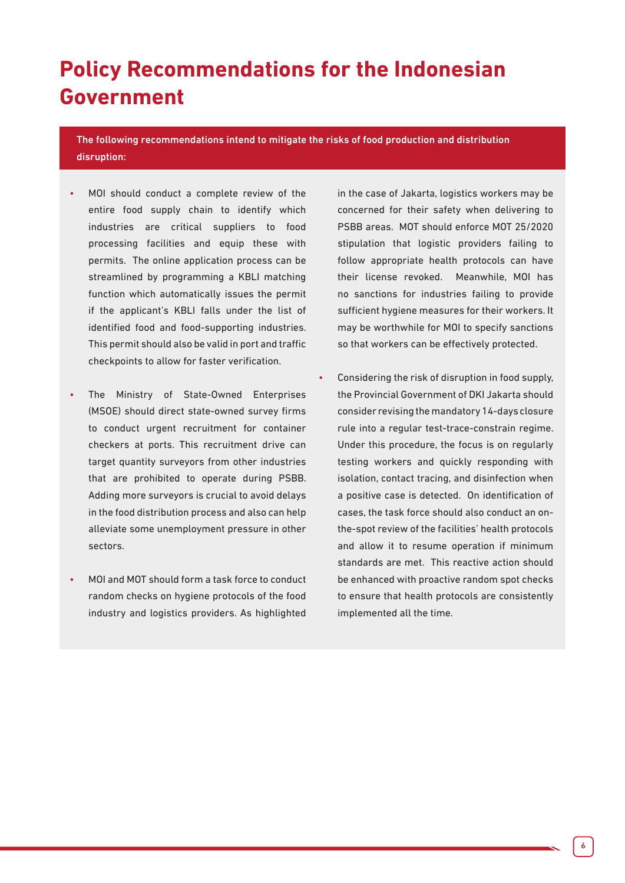### **Policy Recommendations for the Indonesian Government**

The following recommendations intend to mitigate the risks of food production and distribution disruption:

- MOI should conduct a complete review of the entire food supply chain to identify which industries are critical suppliers to food processing facilities and equip these with permits. The online application process can be streamlined by programming a KBLI matching function which automatically issues the permit if the applicant's KBLI falls under the list of identified food and food-supporting industries. This permit should also be valid in port and traffic checkpoints to allow for faster verification.
- The Ministry of State-Owned Enterprises (MSOE) should direct state-owned survey firms to conduct urgent recruitment for container checkers at ports. This recruitment drive can target quantity surveyors from other industries that are prohibited to operate during PSBB. Adding more surveyors is crucial to avoid delays in the food distribution process and also can help alleviate some unemployment pressure in other sectors.
- MOI and MOT should form a task force to conduct random checks on hygiene protocols of the food industry and logistics providers. As highlighted

in the case of Jakarta, logistics workers may be concerned for their safety when delivering to PSBB areas. MOT should enforce MOT 25/2020 stipulation that logistic providers failing to follow appropriate health protocols can have their license revoked. Meanwhile, MOI has no sanctions for industries failing to provide sufficient hygiene measures for their workers. It may be worthwhile for MOI to specify sanctions so that workers can be effectively protected.

• Considering the risk of disruption in food supply, the Provincial Government of DKI Jakarta should consider revising the mandatory 14-days closure rule into a regular test-trace-constrain regime. Under this procedure, the focus is on regularly testing workers and quickly responding with isolation, contact tracing, and disinfection when a positive case is detected. On identification of cases, the task force should also conduct an onthe-spot review of the facilities' health protocols and allow it to resume operation if minimum standards are met. This reactive action should be enhanced with proactive random spot checks to ensure that health protocols are consistently implemented all the time.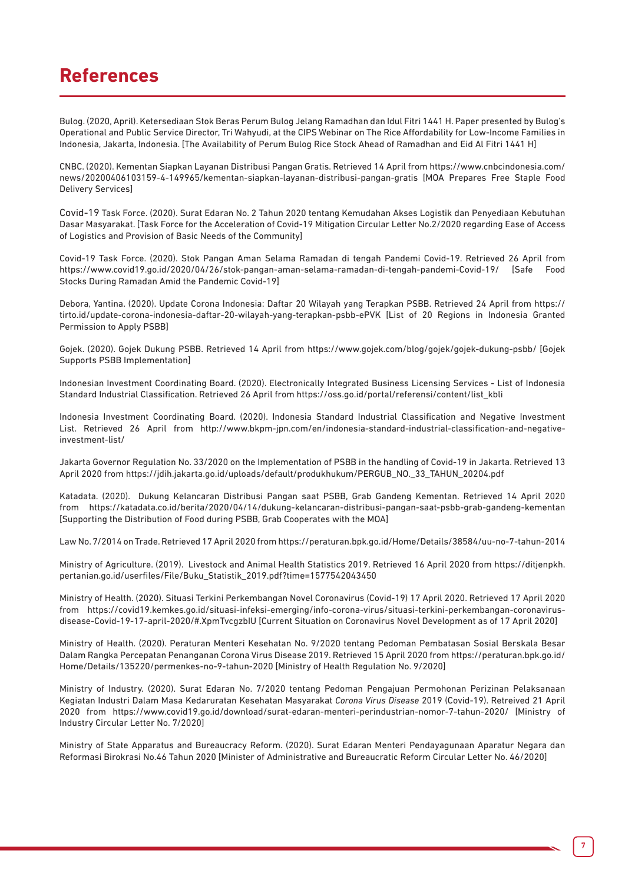#### **References**

Bulog. (2020, April). Ketersediaan Stok Beras Perum Bulog Jelang Ramadhan dan Idul Fitri 1441 H. Paper presented by Bulog's Operational and Public Service Director, Tri Wahyudi, at the CIPS Webinar on The Rice Affordability for Low-Income Families in Indonesia, Jakarta, Indonesia. [The Availability of Perum Bulog Rice Stock Ahead of Ramadhan and Eid Al Fitri 1441 H]

CNBC. (2020). Kementan Siapkan Layanan Distribusi Pangan Gratis. Retrieved 14 April from https://www.cnbcindonesia.com/ news/20200406103159-4-149965/kementan-siapkan-layanan-distribusi-pangan-gratis [MOA Prepares Free Staple Food Delivery Services]

Covid-19 Task Force. (2020). Surat Edaran No. 2 Tahun 2020 tentang Kemudahan Akses Logistik dan Penyediaan Kebutuhan Dasar Masyarakat. [Task Force for the Acceleration of Covid-19 Mitigation Circular Letter No.2/2020 regarding Ease of Access of Logistics and Provision of Basic Needs of the Community]

Covid-19 Task Force. (2020). Stok Pangan Aman Selama Ramadan di tengah Pandemi Covid-19. Retrieved 26 April from https://www.covid19.go.id/2020/04/26/stok-pangan-aman-selama-ramadan-di-tengah-pandemi-Covid-19/ [Safe Food Stocks During Ramadan Amid the Pandemic Covid-19]

Debora, Yantina. (2020). Update Corona Indonesia: Daftar 20 Wilayah yang Terapkan PSBB. Retrieved 24 April from https:// tirto.id/update-corona-indonesia-daftar-20-wilayah-yang-terapkan-psbb-ePVK [List of 20 Regions in Indonesia Granted Permission to Apply PSBB]

Gojek. (2020). Gojek Dukung PSBB. Retrieved 14 April from https://www.gojek.com/blog/gojek/gojek-dukung-psbb/ [Gojek Supports PSBB Implementation]

Indonesian Investment Coordinating Board. (2020). Electronically Integrated Business Licensing Services - List of Indonesia Standard Industrial Classification. Retrieved 26 April from https://oss.go.id/portal/referensi/content/list\_kbli

Indonesia Investment Coordinating Board. (2020). Indonesia Standard Industrial Classification and Negative Investment List. Retrieved 26 April from http://www.bkpm-jpn.com/en/indonesia-standard-industrial-classification-and-negativeinvestment-list/

Jakarta Governor Regulation No. 33/2020 on the Implementation of PSBB in the handling of Covid-19 in Jakarta. Retrieved 13 April 2020 from https://jdih.jakarta.go.id/uploads/default/produkhukum/PERGUB\_NO.\_33\_TAHUN\_20204.pdf

Katadata. (2020). Dukung Kelancaran Distribusi Pangan saat PSBB, Grab Gandeng Kementan. Retrieved 14 April 2020 from https://katadata.co.id/berita/2020/04/14/dukung-kelancaran-distribusi-pangan-saat-psbb-grab-gandeng-kementan [Supporting the Distribution of Food during PSBB, Grab Cooperates with the MOA]

Law No. 7/2014 on Trade. Retrieved 17 April 2020 from https://peraturan.bpk.go.id/Home/Details/38584/uu-no-7-tahun-2014

Ministry of Agriculture. (2019). Livestock and Animal Health Statistics 2019. Retrieved 16 April 2020 from https://ditjenpkh. pertanian.go.id/userfiles/File/Buku\_Statistik\_2019.pdf?time=1577542043450

Ministry of Health. (2020). Situasi Terkini Perkembangan Novel Coronavirus (Covid-19) 17 April 2020. Retrieved 17 April 2020 from https://covid19.kemkes.go.id/situasi-infeksi-emerging/info-corona-virus/situasi-terkini-perkembangan-coronavirusdisease-Covid-19-17-april-2020/#.XpmTvcgzbIU [Current Situation on Coronavirus Novel Development as of 17 April 2020]

Ministry of Health. (2020). Peraturan Menteri Kesehatan No. 9/2020 tentang Pedoman Pembatasan Sosial Berskala Besar Dalam Rangka Percepatan Penanganan Corona Virus Disease 2019. Retrieved 15 April 2020 from https://peraturan.bpk.go.id/ Home/Details/135220/permenkes-no-9-tahun-2020 [Ministry of Health Regulation No. 9/2020]

Ministry of Industry. (2020). Surat Edaran No. 7/2020 tentang Pedoman Pengajuan Permohonan Perizinan Pelaksanaan Kegiatan Industri Dalam Masa Kedaruratan Kesehatan Masyarakat *Corona Virus Disease* 2019 (Covid-19). Retreived 21 April 2020 from https://www.covid19.go.id/download/surat-edaran-menteri-perindustrian-nomor-7-tahun-2020/ [Ministry of Industry Circular Letter No. 7/2020]

Ministry of State Apparatus and Bureaucracy Reform. (2020). Surat Edaran Menteri Pendayagunaan Aparatur Negara dan Reformasi Birokrasi No.46 Tahun 2020 [Minister of Administrative and Bureaucratic Reform Circular Letter No. 46/2020]